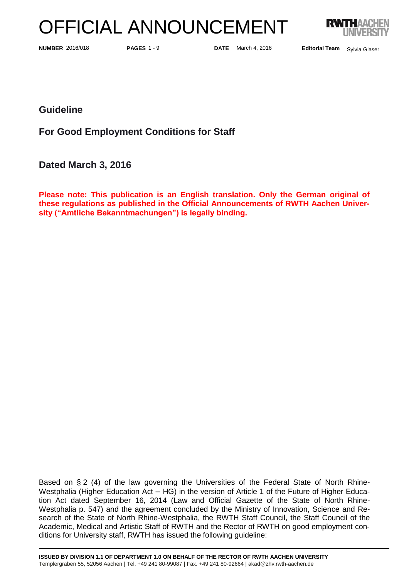# OFFICIAL ANNOUNCEMENT



**PAGES** 1 - 9

**NUMBER** 2016/018 **PAGES** 1 - 9 **DATE** March 4, 2016

Editorial Team Sylvia Glaser

**Guideline** 

**For Good Employment Conditions for Staff** 

**Dated March 3, 2016**

**Please note: This publication is an English translation. Only the German original of these regulations as published in the Official Announcements of RWTH Aachen University ("Amtliche Bekanntmachungen") is legally binding.**

Based on § 2 (4) of the law governing the Universities of the Federal State of North Rhine-Westphalia (Higher Education Act – HG) in the version of Article 1 of the Future of Higher Education Act dated September 16, 2014 (Law and Official Gazette of the State of North Rhine-Westphalia p. 547) and the agreement concluded by the Ministry of Innovation, Science and Research of the State of North Rhine-Westphalia, the RWTH Staff Council, the Staff Council of the Academic, Medical and Artistic Staff of RWTH and the Rector of RWTH on good employment conditions for University staff, RWTH has issued the following guideline: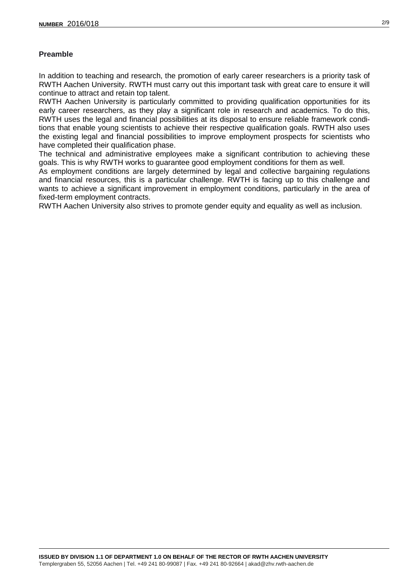# **Preamble**

In addition to teaching and research, the promotion of early career researchers is a priority task of RWTH Aachen University. RWTH must carry out this important task with great care to ensure it will continue to attract and retain top talent.

RWTH Aachen University is particularly committed to providing qualification opportunities for its early career researchers, as they play a significant role in research and academics. To do this, RWTH uses the legal and financial possibilities at its disposal to ensure reliable framework conditions that enable young scientists to achieve their respective qualification goals. RWTH also uses the existing legal and financial possibilities to improve employment prospects for scientists who have completed their qualification phase.

The technical and administrative employees make a significant contribution to achieving these goals. This is why RWTH works to guarantee good employment conditions for them as well.

As employment conditions are largely determined by legal and collective bargaining regulations and financial resources, this is a particular challenge. RWTH is facing up to this challenge and wants to achieve a significant improvement in employment conditions, particularly in the area of fixed-term employment contracts.

RWTH Aachen University also strives to promote gender equity and equality as well as inclusion.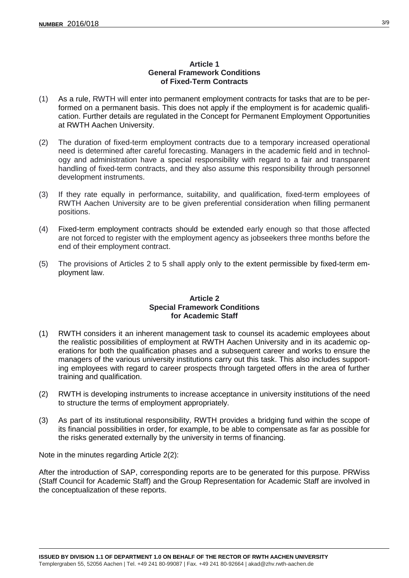#### **Article 1 General Framework Conditions of Fixed-Term Contracts**

- (1) As a rule, RWTH will enter into permanent employment contracts for tasks that are to be performed on a permanent basis. This does not apply if the employment is for academic qualification. Further details are regulated in the Concept for Permanent Employment Opportunities at RWTH Aachen University.
- (2) The duration of fixed-term employment contracts due to a temporary increased operational need is determined after careful forecasting. Managers in the academic field and in technology and administration have a special responsibility with regard to a fair and transparent handling of fixed-term contracts, and they also assume this responsibility through personnel development instruments.
- (3) If they rate equally in performance, suitability, and qualification, fixed-term employees of RWTH Aachen University are to be given preferential consideration when filling permanent positions.
- (4) Fixed-term employment contracts should be extended early enough so that those affected are not forced to register with the employment agency as jobseekers three months before the end of their employment contract.
- (5) The provisions of Articles 2 to 5 shall apply only to the extent permissible by fixed-term employment law.

# **Article 2 Special Framework Conditions for Academic Staff**

- (1) RWTH considers it an inherent management task to counsel its academic employees about the realistic possibilities of employment at RWTH Aachen University and in its academic operations for both the qualification phases and a subsequent career and works to ensure the managers of the various university institutions carry out this task. This also includes supporting employees with regard to career prospects through targeted offers in the area of further training and qualification.
- (2) RWTH is developing instruments to increase acceptance in university institutions of the need to structure the terms of employment appropriately.
- (3) As part of its institutional responsibility, RWTH provides a bridging fund within the scope of its financial possibilities in order, for example, to be able to compensate as far as possible for the risks generated externally by the university in terms of financing.

Note in the minutes regarding Article 2(2):

After the introduction of SAP, corresponding reports are to be generated for this purpose. PRWiss (Staff Council for Academic Staff) and the Group Representation for Academic Staff are involved in the conceptualization of these reports.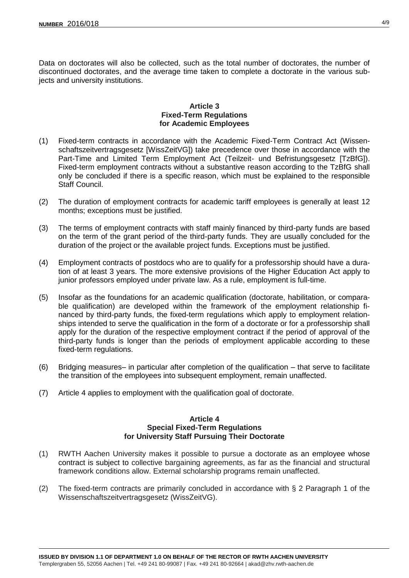Data on doctorates will also be collected, such as the total number of doctorates, the number of discontinued doctorates, and the average time taken to complete a doctorate in the various subjects and university institutions.

#### **Article 3 Fixed-Term Regulations for Academic Employees**

- (1) Fixed-term contracts in accordance with the Academic Fixed-Term Contract Act (Wissenschaftszeitvertragsgesetz [WissZeitVG]) take precedence over those in accordance with the Part-Time and Limited Term Employment Act (Teilzeit- und Befristungsgesetz [TzBfG]). Fixed-term employment contracts without a substantive reason according to the TzBfG shall only be concluded if there is a specific reason, which must be explained to the responsible Staff Council.
- (2) The duration of employment contracts for academic tariff employees is generally at least 12 months; exceptions must be justified.
- (3) The terms of employment contracts with staff mainly financed by third-party funds are based on the term of the grant period of the third-party funds. They are usually concluded for the duration of the project or the available project funds. Exceptions must be justified.
- (4) Employment contracts of postdocs who are to qualify for a professorship should have a duration of at least 3 years. The more extensive provisions of the Higher Education Act apply to junior professors employed under private law. As a rule, employment is full-time.
- (5) Insofar as the foundations for an academic qualification (doctorate, habilitation, or comparable qualification) are developed within the framework of the employment relationship financed by third-party funds, the fixed-term regulations which apply to employment relationships intended to serve the qualification in the form of a doctorate or for a professorship shall apply for the duration of the respective employment contract if the period of approval of the third-party funds is longer than the periods of employment applicable according to these fixed-term regulations.
- (6) Bridging measures– in particular after completion of the qualification that serve to facilitate the transition of the employees into subsequent employment, remain unaffected.
- (7) Article 4 applies to employment with the qualification goal of doctorate.

## **Article 4 Special Fixed-Term Regulations for University Staff Pursuing Their Doctorate**

- (1) RWTH Aachen University makes it possible to pursue a doctorate as an employee whose contract is subject to collective bargaining agreements, as far as the financial and structural framework conditions allow. External scholarship programs remain unaffected.
- (2) The fixed-term contracts are primarily concluded in accordance with § 2 Paragraph 1 of the Wissenschaftszeitvertragsgesetz (WissZeitVG).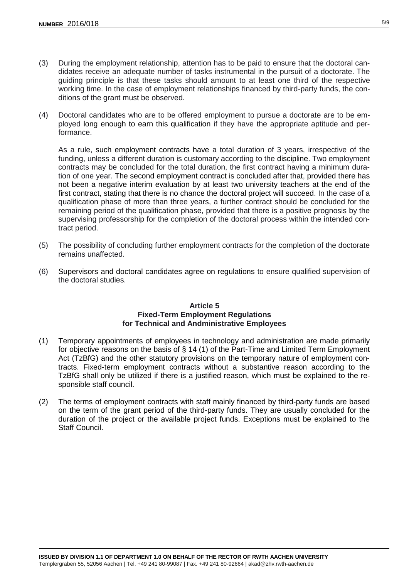- (3) During the employment relationship, attention has to be paid to ensure that the doctoral candidates receive an adequate number of tasks instrumental in the pursuit of a doctorate. The guiding principle is that these tasks should amount to at least one third of the respective working time. In the case of employment relationships financed by third-party funds, the conditions of the grant must be observed.
- (4) Doctoral candidates who are to be offered employment to pursue a doctorate are to be employed long enough to earn this qualification if they have the appropriate aptitude and performance.

As a rule, such employment contracts have a total duration of 3 years, irrespective of the funding, unless a different duration is customary according to the discipline. Two employment contracts may be concluded for the total duration, the first contract having a minimum duration of one year. The second employment contract is concluded after that, provided there has not been a negative interim evaluation by at least two university teachers at the end of the first contract, stating that there is no chance the doctoral project will succeed. In the case of a qualification phase of more than three years, a further contract should be concluded for the remaining period of the qualification phase, provided that there is a positive prognosis by the supervising professorship for the completion of the doctoral process within the intended contract period.

- (5) The possibility of concluding further employment contracts for the completion of the doctorate remains unaffected.
- (6) Supervisors and doctoral candidates agree on regulations to ensure qualified supervision of the doctoral studies.

### **Article 5 Fixed-Term Employment Regulations for Technical and Andministrative Employees**

- (1) Temporary appointments of employees in technology and administration are made primarily for objective reasons on the basis of § 14 (1) of the Part-Time and Limited Term Employment Act (TzBfG) and the other statutory provisions on the temporary nature of employment contracts. Fixed-term employment contracts without a substantive reason according to the TzBfG shall only be utilized if there is a justified reason, which must be explained to the responsible staff council.
- (2) The terms of employment contracts with staff mainly financed by third-party funds are based on the term of the grant period of the third-party funds. They are usually concluded for the duration of the project or the available project funds. Exceptions must be explained to the Staff Council.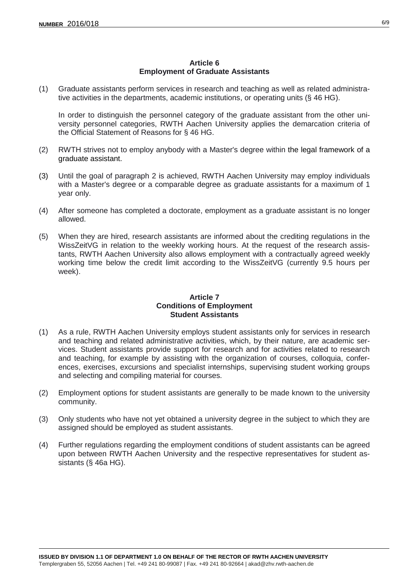# **Article 6 Employment of Graduate Assistants**

(1) Graduate assistants perform services in research and teaching as well as related administrative activities in the departments, academic institutions, or operating units (§ 46 HG).

In order to distinguish the personnel category of the graduate assistant from the other university personnel categories, RWTH Aachen University applies the demarcation criteria of the Official Statement of Reasons for § 46 HG.

- (2) RWTH strives not to employ anybody with a Master's degree within the legal framework of a graduate assistant.
- (3) Until the goal of paragraph 2 is achieved, RWTH Aachen University may employ individuals with a Master's degree or a comparable degree as graduate assistants for a maximum of 1 year only.
- (4) After someone has completed a doctorate, employment as a graduate assistant is no longer allowed.
- (5) When they are hired, research assistants are informed about the crediting regulations in the WissZeitVG in relation to the weekly working hours. At the request of the research assistants, RWTH Aachen University also allows employment with a contractually agreed weekly working time below the credit limit according to the WissZeitVG (currently 9.5 hours per week).

## **Article 7 Conditions of Employment Student Assistants**

- (1) As a rule, RWTH Aachen University employs student assistants only for services in research and teaching and related administrative activities, which, by their nature, are academic services. Student assistants provide support for research and for activities related to research and teaching, for example by assisting with the organization of courses, colloquia, conferences, exercises, excursions and specialist internships, supervising student working groups and selecting and compiling material for courses.
- (2) Employment options for student assistants are generally to be made known to the university community.
- (3) Only students who have not yet obtained a university degree in the subject to which they are assigned should be employed as student assistants.
- (4) Further regulations regarding the employment conditions of student assistants can be agreed upon between RWTH Aachen University and the respective representatives for student assistants (§ 46a HG).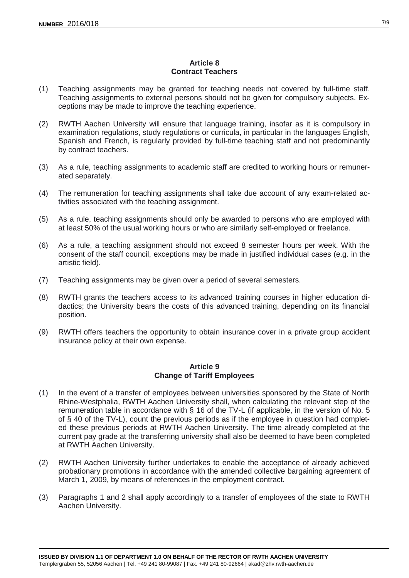# **Article 8 Contract Teachers**

- (1) Teaching assignments may be granted for teaching needs not covered by full-time staff. Teaching assignments to external persons should not be given for compulsory subjects. Exceptions may be made to improve the teaching experience.
- (2) RWTH Aachen University will ensure that language training, insofar as it is compulsory in examination regulations, study regulations or curricula, in particular in the languages English, Spanish and French, is regularly provided by full-time teaching staff and not predominantly by contract teachers.
- (3) As a rule, teaching assignments to academic staff are credited to working hours or remunerated separately.
- (4) The remuneration for teaching assignments shall take due account of any exam-related activities associated with the teaching assignment.
- (5) As a rule, teaching assignments should only be awarded to persons who are employed with at least 50% of the usual working hours or who are similarly self-employed or freelance.
- (6) As a rule, a teaching assignment should not exceed 8 semester hours per week. With the consent of the staff council, exceptions may be made in justified individual cases (e.g. in the artistic field).
- (7) Teaching assignments may be given over a period of several semesters.
- (8) RWTH grants the teachers access to its advanced training courses in higher education didactics; the University bears the costs of this advanced training, depending on its financial position.
- (9) RWTH offers teachers the opportunity to obtain insurance cover in a private group accident insurance policy at their own expense.

### **Article 9 Change of Tariff Employees**

- (1) In the event of a transfer of employees between universities sponsored by the State of North Rhine-Westphalia, RWTH Aachen University shall, when calculating the relevant step of the remuneration table in accordance with § 16 of the TV-L (if applicable, in the version of No. 5 of § 40 of the TV-L), count the previous periods as if the employee in question had completed these previous periods at RWTH Aachen University. The time already completed at the current pay grade at the transferring university shall also be deemed to have been completed at RWTH Aachen University.
- (2) RWTH Aachen University further undertakes to enable the acceptance of already achieved probationary promotions in accordance with the amended collective bargaining agreement of March 1, 2009, by means of references in the employment contract.
- (3) Paragraphs 1 and 2 shall apply accordingly to a transfer of employees of the state to RWTH Aachen University.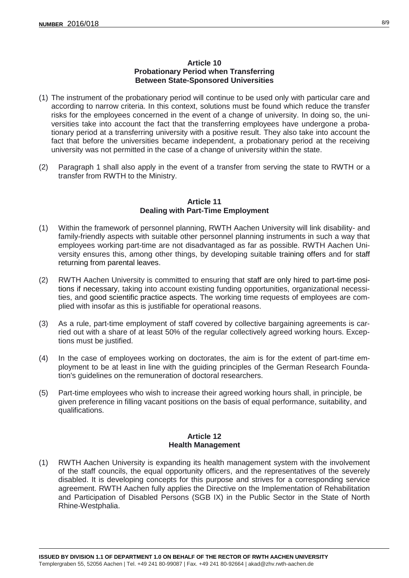#### **Article 10 Probationary Period when Transferring Between State-Sponsored Universities**

- (1) The instrument of the probationary period will continue to be used only with particular care and according to narrow criteria. In this context, solutions must be found which reduce the transfer risks for the employees concerned in the event of a change of university. In doing so, the universities take into account the fact that the transferring employees have undergone a probationary period at a transferring university with a positive result. They also take into account the fact that before the universities became independent, a probationary period at the receiving university was not permitted in the case of a change of university within the state.
- (2) Paragraph 1 shall also apply in the event of a transfer from serving the state to RWTH or a transfer from RWTH to the Ministry.

#### **Article 11 Dealing with Part-Time Employment**

- (1) Within the framework of personnel planning, RWTH Aachen University will link disability- and family-friendly aspects with suitable other personnel planning instruments in such a way that employees working part-time are not disadvantaged as far as possible. RWTH Aachen University ensures this, among other things, by developing suitable training offers and for staff returning from parental leaves.
- (2) RWTH Aachen University is committed to ensuring that staff are only hired to part-time positions if necessary, taking into account existing funding opportunities, organizational necessities, and good scientific practice aspects. The working time requests of employees are complied with insofar as this is justifiable for operational reasons.
- (3) As a rule, part-time employment of staff covered by collective bargaining agreements is carried out with a share of at least 50% of the regular collectively agreed working hours. Exceptions must be justified.
- (4) In the case of employees working on doctorates, the aim is for the extent of part-time employment to be at least in line with the guiding principles of the German Research Foundation's guidelines on the remuneration of doctoral researchers.
- (5) Part-time employees who wish to increase their agreed working hours shall, in principle, be given preference in filling vacant positions on the basis of equal performance, suitability, and qualifications.

## **Article 12 Health Management**

(1) RWTH Aachen University is expanding its health management system with the involvement of the staff councils, the equal opportunity officers, and the representatives of the severely disabled. It is developing concepts for this purpose and strives for a corresponding service agreement. RWTH Aachen fully applies the Directive on the Implementation of Rehabilitation and Participation of Disabled Persons (SGB IX) in the Public Sector in the State of North Rhine-Westphalia.